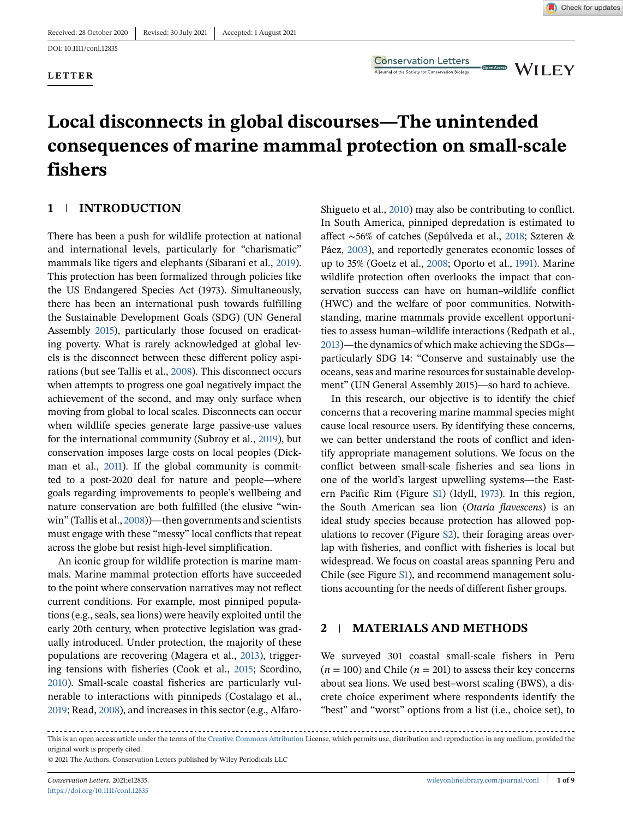#### **LETTER**

**Conservation Letters** A journal of the Society for Conservation Biology

**WILEY** 

Open Access

# **Local disconnects in global discourses—The unintended consequences of marine mammal protection on small-scale fishers**

# **1 INTRODUCTION**

There has been a push for wildlife protection at national and international levels, particularly for "charismatic" mammals like tigers and elephants (Sibarani et al., [2019\)](#page-8-0). This protection has been formalized through policies like the US Endangered Species Act (1973). Simultaneously, there has been an international push towards fulfilling the Sustainable Development Goals (SDG) (UN General Assembly [2015\)](#page-8-0), particularly those focused on eradicating poverty. What is rarely acknowledged at global levels is the disconnect between these different policy aspirations (but see Tallis et al., [2008\)](#page-8-0). This disconnect occurs when attempts to progress one goal negatively impact the achievement of the second, and may only surface when moving from global to local scales. Disconnects can occur when wildlife species generate large passive-use values for the international community (Subroy et al., [2019\)](#page-8-0), but conservation imposes large costs on local peoples (Dickman et al., [2011\)](#page-7-0). If the global community is committed to a post-2020 deal for nature and people—where goals regarding improvements to people's wellbeing and nature conservation are both fulfilled (the elusive "winwin" (Tallis et al., [2008\)](#page-8-0))—then governments and scientists must engage with these "messy" local conflicts that repeat across the globe but resist high-level simplification.

An iconic group for wildlife protection is marine mammals. Marine mammal protection efforts have succeeded to the point where conservation narratives may not reflect current conditions. For example, most pinniped populations (e.g., seals, sea lions) were heavily exploited until the early 20th century, when protective legislation was gradually introduced. Under protection, the majority of these populations are recovering (Magera et al., [2013\)](#page-7-0), triggering tensions with fisheries (Cook et al., [2015;](#page-7-0) Scordino, [2010\)](#page-7-0). Small-scale coastal fisheries are particularly vulnerable to interactions with pinnipeds (Costalago et al., [2019;](#page-7-0) Read, [2008\)](#page-7-0), and increases in this sector (e.g., AlfaroShigueto et al., [2010\)](#page-7-0) may also be contributing to conflict. In South America, pinniped depredation is estimated to affect ∼56% of catches (Sepúlveda et al., [2018;](#page-8-0) Szteren & Páez, [2003\)](#page-8-0), and reportedly generates economic losses of up to 35% (Goetz et al., [2008;](#page-7-0) Oporto et al., [1991\)](#page-7-0). Marine wildlife protection often overlooks the impact that conservation success can have on human–wildlife conflict (HWC) and the welfare of poor communities. Notwithstanding, marine mammals provide excellent opportunities to assess human–wildlife interactions (Redpath et al., [2013\)](#page-7-0)—the dynamics of which make achieving the SDGs particularly SDG 14: "Conserve and sustainably use the oceans, seas and marine resources for sustainable development" (UN General Assembly 2015)—so hard to achieve.

In this research, our objective is to identify the chief concerns that a recovering marine mammal species might cause local resource users. By identifying these concerns, we can better understand the roots of conflict and identify appropriate management solutions. We focus on the conflict between small-scale fisheries and sea lions in one of the world's largest upwelling systems—the Eastern Pacific Rim (Figure S1) (Idyll, [1973\)](#page-7-0). In this region, the South American sea lion (*Otaria flavescens*) is an ideal study species because protection has allowed populations to recover (Figure S2), their foraging areas overlap with fisheries, and conflict with fisheries is local but widespread. We focus on coastal areas spanning Peru and Chile (see Figure S1), and recommend management solutions accounting for the needs of different fisher groups.

## **2 MATERIALS AND METHODS**

We surveyed 301 coastal small-scale fishers in Peru  $(n = 100)$  and Chile  $(n = 201)$  to assess their key concerns about sea lions. We used best–worst scaling (BWS), a discrete choice experiment where respondents identify the "best" and "worst" options from a list (i.e., choice set), to

This is an open access article under the terms of the [Creative Commons Attribution](http://creativecommons.org/licenses/by/4.0/) License, which permits use, distribution and reproduction in any medium, provided the original work is properly cited.

<sup>© 2021</sup> The Authors. Conservation Letters published by Wiley Periodicals LLC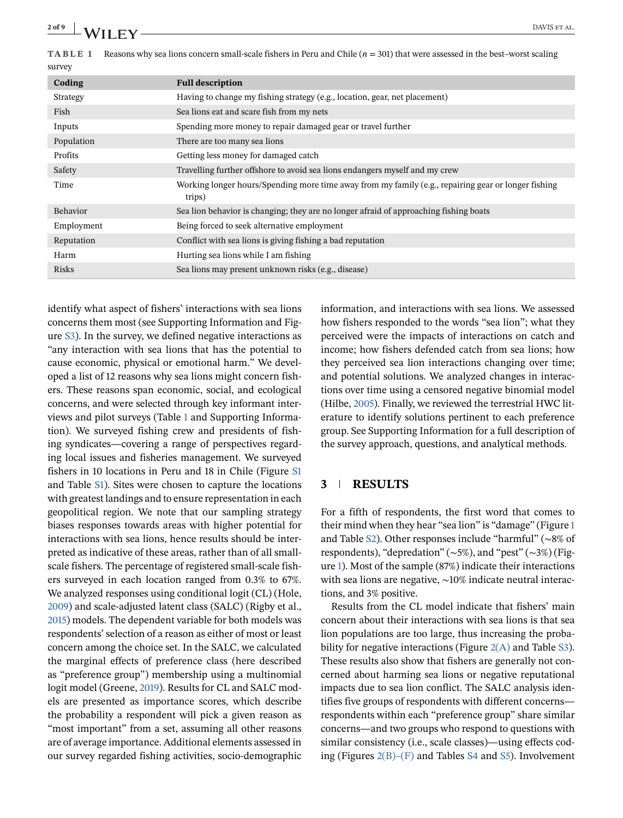**TABLE 1** Reasons why sea lions concern small-scale fishers in Peru and Chile (*n* = 301) that were assessed in the best–worst scaling  $\mathbf{S}$ 

|  | Coding          | <b>Full description</b>                                                                                       |  |  |
|--|-----------------|---------------------------------------------------------------------------------------------------------------|--|--|
|  | Strategy        | Having to change my fishing strategy (e.g., location, gear, net placement)                                    |  |  |
|  | Fish            | Sea lions eat and scare fish from my nets                                                                     |  |  |
|  | Inputs          | Spending more money to repair damaged gear or travel further                                                  |  |  |
|  | Population      | There are too many sea lions                                                                                  |  |  |
|  | Profits         | Getting less money for damaged catch                                                                          |  |  |
|  | Safety          | Travelling further offshore to avoid sea lions endangers myself and my crew                                   |  |  |
|  | Time            | Working longer hours/Spending more time away from my family (e.g., repairing gear or longer fishing<br>trips) |  |  |
|  | <b>Behavior</b> | Sea lion behavior is changing; they are no longer afraid of approaching fishing boats                         |  |  |
|  | Employment      | Being forced to seek alternative employment                                                                   |  |  |
|  | Reputation      | Conflict with sea lions is giving fishing a bad reputation                                                    |  |  |
|  | Harm            | Hurting sea lions while I am fishing                                                                          |  |  |
|  | Risks           | Sea lions may present unknown risks (e.g., disease)                                                           |  |  |
|  |                 |                                                                                                               |  |  |

identify what aspect of fishers' interactions with sea lions concerns them most (see Supporting Information and Figure S3). In the survey, we defined negative interactions as "any interaction with sea lions that has the potential to cause economic, physical or emotional harm." We developed a list of 12 reasons why sea lions might concern fishers. These reasons span economic, social, and ecological concerns, and were selected through key informant interviews and pilot surveys (Table 1 and Supporting Information). We surveyed fishing crew and presidents of fishing syndicates—covering a range of perspectives regarding local issues and fisheries management. We surveyed fishers in 10 locations in Peru and 18 in Chile (Figure S1 and Table S1). Sites were chosen to capture the locations with greatest landings and to ensure representation in each geopolitical region. We note that our sampling strategy biases responses towards areas with higher potential for interactions with sea lions, hence results should be interpreted as indicative of these areas, rather than of all smallscale fishers. The percentage of registered small-scale fishers surveyed in each location ranged from 0.3% to 67%. We analyzed responses using conditional logit (CL) (Hole, [2009\)](#page-7-0) and scale-adjusted latent class (SALC) (Rigby et al., [2015\)](#page-7-0) models. The dependent variable for both models was respondents' selection of a reason as either of most or least concern among the choice set. In the SALC, we calculated the marginal effects of preference class (here described as "preference group") membership using a multinomial logit model (Greene, [2019\)](#page-7-0). Results for CL and SALC models are presented as importance scores, which describe the probability a respondent will pick a given reason as "most important" from a set, assuming all other reasons are of average importance. Additional elements assessed in our survey regarded fishing activities, socio-demographic

information, and interactions with sea lions. We assessed how fishers responded to the words "sea lion"; what they perceived were the impacts of interactions on catch and income; how fishers defended catch from sea lions; how they perceived sea lion interactions changing over time; and potential solutions. We analyzed changes in interactions over time using a censored negative binomial model (Hilbe, [2005\)](#page-7-0). Finally, we reviewed the terrestrial HWC literature to identify solutions pertinent to each preference group. See Supporting Information for a full description of the survey approach, questions, and analytical methods.

## **3 RESULTS**

For a fifth of respondents, the first word that comes to their mind when they hear "sea lion" is "damage" (Figure [1](#page-2-0) and Table S2). Other responses include "harmful" (∼8% of respondents), "depredation" (∼5%), and "pest" (∼3%) (Figure [1\)](#page-2-0). Most of the sample (87%) indicate their interactions with sea lions are negative, ∼10% indicate neutral interactions, and 3% positive.

Results from the CL model indicate that fishers' main concern about their interactions with sea lions is that sea lion populations are too large, thus increasing the probability for negative interactions (Figure  $2(A)$  and Table S3). These results also show that fishers are generally not concerned about harming sea lions or negative reputational impacts due to sea lion conflict. The SALC analysis identifies five groups of respondents with different concerns respondents within each "preference group" share similar concerns—and two groups who respond to questions with similar consistency (i.e., scale classes)—using effects coding (Figures [2\(B\)–\(F\)](#page-3-0) and Tables S4 and S5). Involvement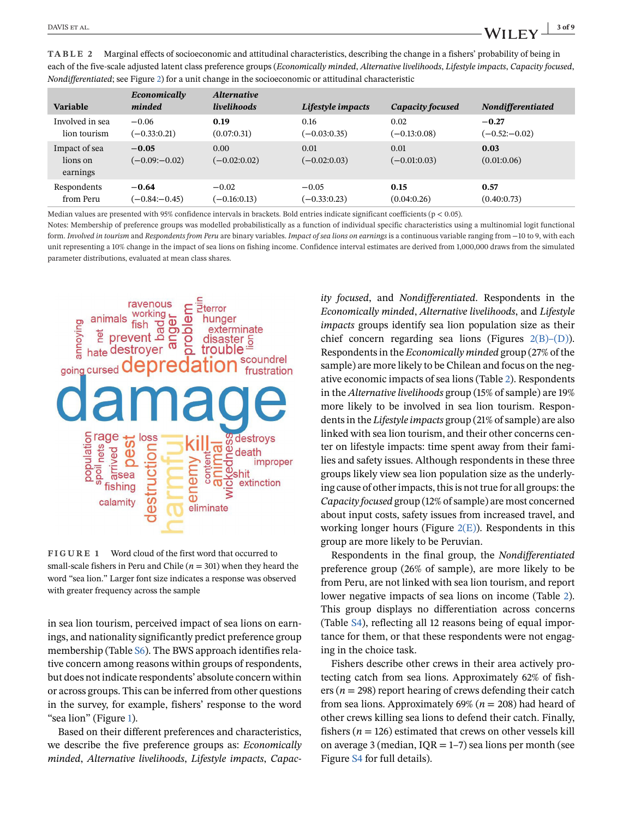<span id="page-2-0"></span>**TABLE 2** Marginal effects of socioeconomic and attitudinal characteristics, describing the change in a fishers' probability of being in each of the five-scale adjusted latent class preference groups (*Economically minded*, *Alternative livelihoods*, *Lifestyle impacts*, *Capacity focused*, *Nondifferentiated*; see Figure [2\)](#page-3-0) for a unit change in the socioeconomic or attitudinal characteristic

| Variable                              | Economically<br>minded      | <i><b>Alternative</b></i><br><i>livelihoods</i> | Lifestyle impacts      | Capacity focused       | <b>Nondifferentiated</b> |
|---------------------------------------|-----------------------------|-------------------------------------------------|------------------------|------------------------|--------------------------|
| Involved in sea                       | $-0.06$                     | 0.19                                            | 0.16                   | 0.02                   | $-0.27$                  |
| lion tourism                          | $(-0.33:0.21)$              | (0.07:0.31)                                     | $(-0.03:0.35)$         | $(-0.13:0.08)$         | $(-0.52:-0.02)$          |
| Impact of sea<br>lions on<br>earnings | $-0.05$<br>$(-0.09 - 0.02)$ | 0.00<br>$(-0.02:0.02)$                          | 0.01<br>$(-0.02:0.03)$ | 0.01<br>$(-0.01:0.03)$ | 0.03<br>(0.01:0.06)      |
| Respondents                           | $-0.64$                     | $-0.02$                                         | $-0.05$                | 0.15                   | 0.57                     |
| from Peru                             | $(-0.84 - 0.45)$            | $(-0.16:0.13)$                                  | $(-0.33:0.23)$         | (0.04:0.26)            | (0.40:0.73)              |

Median values are presented with 95% confidence intervals in brackets. Bold entries indicate significant coefficients ( $p < 0.05$ ).

Notes: Membership of preference groups was modelled probabilistically as a function of individual specific characteristics using a multinomial logit functional form. *Involved in tourism* and *Respondents from Peru* are binary variables. *Impact of sea lions on earnings* is a continuous variable ranging from −10 to 9, with each unit representing a 10% change in the impact of sea lions on fishing income. Confidence interval estimates are derived from 1,000,000 draws from the simulated parameter distributions, evaluated at mean class shares.



**FIGURE 1** Word cloud of the first word that occurred to small-scale fishers in Peru and Chile ( $n = 301$ ) when they heard the word "sea lion." Larger font size indicates a response was observed with greater frequency across the sample

in sea lion tourism, perceived impact of sea lions on earnings, and nationality significantly predict preference group membership (Table S6). The BWS approach identifies relative concern among reasons within groups of respondents, but does not indicate respondents' absolute concern within or across groups. This can be inferred from other questions in the survey, for example, fishers' response to the word "sea lion" (Figure 1).

Based on their different preferences and characteristics, we describe the five preference groups as: *Economically minded*, *Alternative livelihoods*, *Lifestyle impacts*, *Capac-*

*ity focused*, and *Nondifferentiated*. Respondents in the *Economically minded*, *Alternative livelihoods*, and *Lifestyle impacts* groups identify sea lion population size as their chief concern regarding sea lions (Figures  $2(B)$ –(D)). Respondents in the *Economically minded* group (27% of the sample) are more likely to be Chilean and focus on the negative economic impacts of sea lions (Table 2). Respondents in the *Alternative livelihoods* group (15% of sample) are 19% more likely to be involved in sea lion tourism. Respondents in the *Lifestyle impacts* group (21% of sample) are also linked with sea lion tourism, and their other concerns center on lifestyle impacts: time spent away from their families and safety issues. Although respondents in these three groups likely view sea lion population size as the underlying cause of other impacts, this is not true for all groups: the *Capacity focused* group (12% of sample) are most concerned about input costs, safety issues from increased travel, and working longer hours (Figure  $2(E)$ ). Respondents in this group are more likely to be Peruvian.

Respondents in the final group, the *Nondifferentiated* preference group (26% of sample), are more likely to be from Peru, are not linked with sea lion tourism, and report lower negative impacts of sea lions on income (Table 2). This group displays no differentiation across concerns (Table S4), reflecting all 12 reasons being of equal importance for them, or that these respondents were not engaging in the choice task.

Fishers describe other crews in their area actively protecting catch from sea lions. Approximately 62% of fishers (*n* = 298) report hearing of crews defending their catch from sea lions. Approximately 69% (*n* = 208) had heard of other crews killing sea lions to defend their catch. Finally, fishers ( $n = 126$ ) estimated that crews on other vessels kill on average 3 (median,  $IQR = 1-7$ ) sea lions per month (see Figure S4 for full details).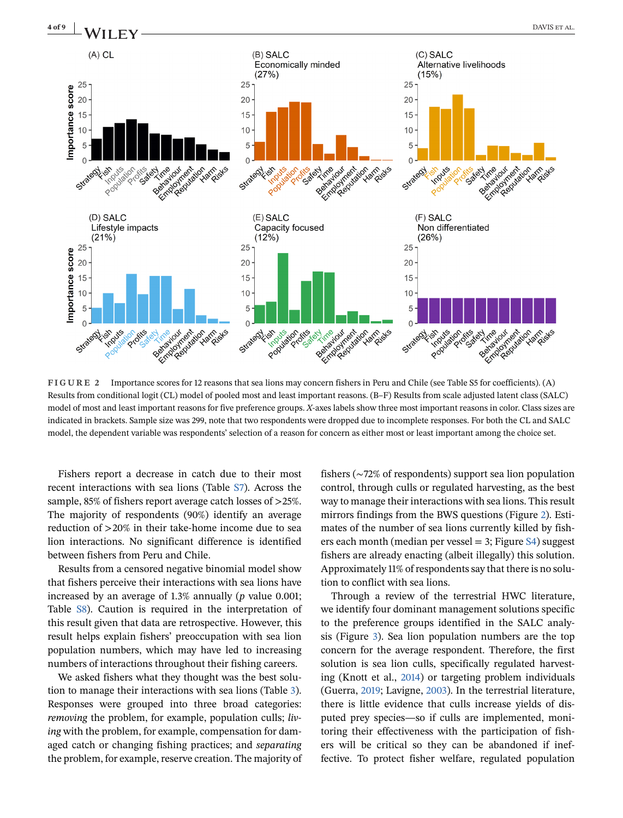<span id="page-3-0"></span>

**FIGURE 2** Importance scores for 12 reasons that sea lions may concern fishers in Peru and Chile (see Table S5 for coefficients). (A) Results from conditional logit (CL) model of pooled most and least important reasons. (B–F) Results from scale adjusted latent class (SALC) model of most and least important reasons for five preference groups. *X*-axes labels show three most important reasons in color. Class sizes are indicated in brackets. Sample size was 299, note that two respondents were dropped due to incomplete responses. For both the CL and SALC model, the dependent variable was respondents' selection of a reason for concern as either most or least important among the choice set.

Fishers report a decrease in catch due to their most recent interactions with sea lions (Table S7). Across the sample, 85% of fishers report average catch losses of >25%. The majority of respondents (90%) identify an average reduction of >20% in their take-home income due to sea lion interactions. No significant difference is identified between fishers from Peru and Chile.

Results from a censored negative binomial model show that fishers perceive their interactions with sea lions have increased by an average of 1.3% annually (*p* value 0.001; Table S8). Caution is required in the interpretation of this result given that data are retrospective. However, this result helps explain fishers' preoccupation with sea lion population numbers, which may have led to increasing numbers of interactions throughout their fishing careers.

We asked fishers what they thought was the best solution to manage their interactions with sea lions (Table [3\)](#page-4-0). Responses were grouped into three broad categories: *removing* the problem, for example, population culls; *living* with the problem, for example, compensation for damaged catch or changing fishing practices; and *separating* the problem, for example, reserve creation. The majority of fishers (∼72% of respondents) support sea lion population control, through culls or regulated harvesting, as the best way to manage their interactions with sea lions. This result mirrors findings from the BWS questions (Figure 2). Estimates of the number of sea lions currently killed by fishers each month (median per vessel = 3; Figure S4) suggest fishers are already enacting (albeit illegally) this solution. Approximately 11% of respondents say that there is no solution to conflict with sea lions.

Through a review of the terrestrial HWC literature, we identify four dominant management solutions specific to the preference groups identified in the SALC analysis (Figure [3\)](#page-4-0). Sea lion population numbers are the top concern for the average respondent. Therefore, the first solution is sea lion culls, specifically regulated harvesting (Knott et al., [2014\)](#page-7-0) or targeting problem individuals (Guerra, [2019;](#page-7-0) Lavigne, [2003\)](#page-7-0). In the terrestrial literature, there is little evidence that culls increase yields of disputed prey species—so if culls are implemented, monitoring their effectiveness with the participation of fishers will be critical so they can be abandoned if ineffective. To protect fisher welfare, regulated population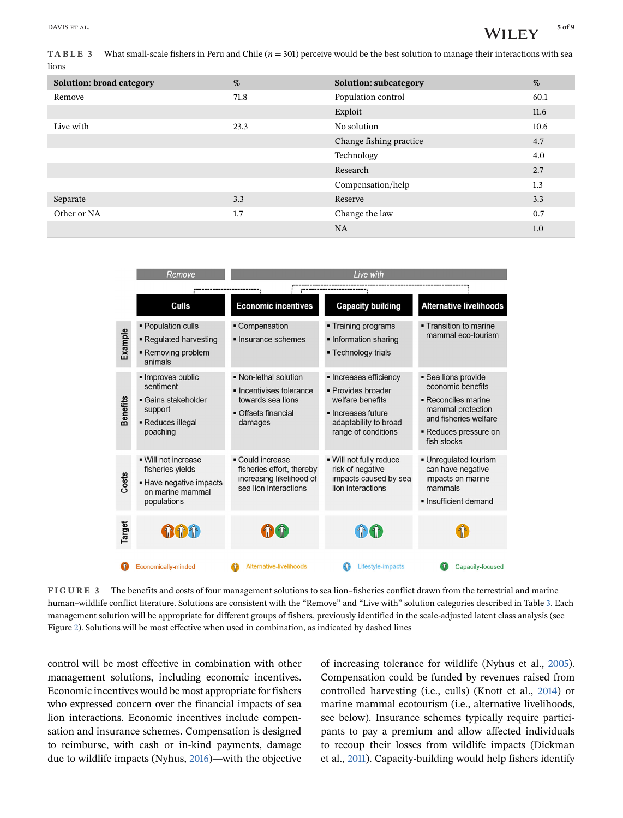<span id="page-4-0"></span>**TABLE 3** What small-scale fishers in Peru and Chile  $(n = 301)$  perceive would be the best solution to manage their interactions with sea lions

| Solution: broad category | %    | <b>Solution: subcategory</b> | %    |
|--------------------------|------|------------------------------|------|
| Remove                   | 71.8 | Population control           | 60.1 |
|                          |      | Exploit                      | 11.6 |
| Live with                | 23.3 | No solution                  | 10.6 |
|                          |      | Change fishing practice      | 4.7  |
|                          |      | Technology                   | 4.0  |
|                          |      | Research                     | 2.7  |
|                          |      | Compensation/help            | 1.3  |
| Separate                 | 3.3  | Reserve                      | 3.3  |
| Other or NA              | 1.7  | Change the law               | 0.7  |
|                          |      | <b>NA</b>                    | 1.0  |

|                 | Remove                                                                                                | Live with                                                                                                |                                                                                                                                        |                                                                                                                                                       |
|-----------------|-------------------------------------------------------------------------------------------------------|----------------------------------------------------------------------------------------------------------|----------------------------------------------------------------------------------------------------------------------------------------|-------------------------------------------------------------------------------------------------------------------------------------------------------|
|                 |                                                                                                       |                                                                                                          |                                                                                                                                        |                                                                                                                                                       |
|                 | Culls                                                                                                 | <b>Economic incentives</b>                                                                               | <b>Capacity building</b>                                                                                                               | <b>Alternative livelihoods</b>                                                                                                                        |
| Example         | • Population culls<br>• Regulated harvesting<br>- Removing problem<br>animals                         | • Compensation<br>· Insurance schemes                                                                    | ■ Training programs<br>. Information sharing<br>• Technology trials                                                                    | . Transition to marine<br>mammal eco-tourism                                                                                                          |
| <b>Benefits</b> | · Improves public<br>sentiment<br>• Gains stakeholder<br>support<br>- Reduces illegal<br>poaching     | • Non-lethal solution<br>• Incentivises tolerance<br>towards sea lions<br>• Offsets financial<br>damages | · Increases efficiency<br>· Provides broader<br>welfare benefits<br>· Increases future<br>adaptability to broad<br>range of conditions | • Sea lions provide<br>economic benefits<br>• Reconciles marine<br>mammal protection<br>and fisheries welfare<br>■ Reduces pressure on<br>fish stocks |
| Costs           | . Will not increase<br>fisheries vields<br>• Have negative impacts<br>on marine mammal<br>populations | • Could increase<br>fisheries effort, thereby<br>increasing likelihood of<br>sea lion interactions       | . Will not fully reduce<br>risk of negative<br>impacts caused by sea<br>lion interactions                                              | · Unregulated tourism<br>can have negative<br>impacts on marine<br>mammals<br>Insufficient demand                                                     |
| Target          | <b>OOOO</b>                                                                                           |                                                                                                          | $4$ $(4)$                                                                                                                              |                                                                                                                                                       |
|                 | <b>Economically-minded</b>                                                                            | Alternative-livelihoods                                                                                  | Lifestyle-impacts                                                                                                                      | Capacity-focused                                                                                                                                      |

**FIGURE 3** The benefits and costs of four management solutions to sea lion–fisheries conflict drawn from the terrestrial and marine human–wildlife conflict literature. Solutions are consistent with the "Remove" and "Live with" solution categories described in Table 3. Each management solution will be appropriate for different groups of fishers, previously identified in the scale-adjusted latent class analysis (see Figure [2\)](#page-3-0). Solutions will be most effective when used in combination, as indicated by dashed lines

control will be most effective in combination with other management solutions, including economic incentives. Economic incentives would be most appropriate for fishers who expressed concern over the financial impacts of sea lion interactions. Economic incentives include compensation and insurance schemes. Compensation is designed to reimburse, with cash or in-kind payments, damage due to wildlife impacts (Nyhus, [2016\)](#page-7-0)—with the objective of increasing tolerance for wildlife (Nyhus et al., [2005\)](#page-7-0). Compensation could be funded by revenues raised from controlled harvesting (i.e., culls) (Knott et al., [2014\)](#page-7-0) or marine mammal ecotourism (i.e., alternative livelihoods, see below). Insurance schemes typically require participants to pay a premium and allow affected individuals to recoup their losses from wildlife impacts (Dickman et al., [2011\)](#page-7-0). Capacity-building would help fishers identify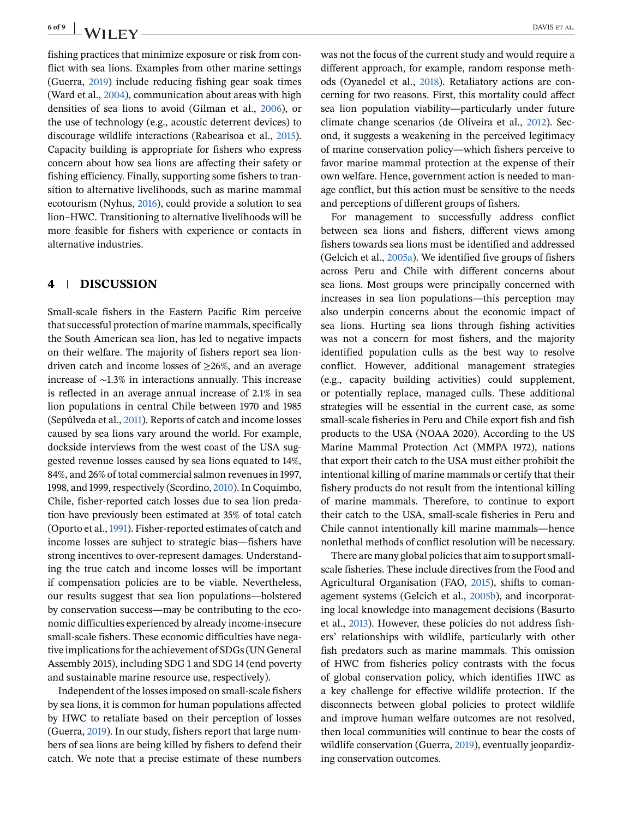fishing practices that minimize exposure or risk from conflict with sea lions. Examples from other marine settings (Guerra, [2019\)](#page-7-0) include reducing fishing gear soak times (Ward et al., [2004\)](#page-8-0), communication about areas with high densities of sea lions to avoid (Gilman et al., [2006\)](#page-7-0), or the use of technology (e.g., acoustic deterrent devices) to discourage wildlife interactions (Rabearisoa et al., [2015\)](#page-7-0). Capacity building is appropriate for fishers who express concern about how sea lions are affecting their safety or fishing efficiency. Finally, supporting some fishers to transition to alternative livelihoods, such as marine mammal ecotourism (Nyhus, [2016\)](#page-7-0), could provide a solution to sea lion–HWC. Transitioning to alternative livelihoods will be more feasible for fishers with experience or contacts in alternative industries.

# **4 DISCUSSION**

Small-scale fishers in the Eastern Pacific Rim perceive that successful protection of marine mammals, specifically the South American sea lion, has led to negative impacts on their welfare. The majority of fishers report sea liondriven catch and income losses of  $\geq$ 26%, and an average increase of ∼1.3% in interactions annually. This increase is reflected in an average annual increase of 2.1% in sea lion populations in central Chile between 1970 and 1985 (Sepúlveda et al., [2011\)](#page-8-0). Reports of catch and income losses caused by sea lions vary around the world. For example, dockside interviews from the west coast of the USA suggested revenue losses caused by sea lions equated to 14%, 84%, and 26% of total commercial salmon revenues in 1997, 1998, and 1999, respectively (Scordino, [2010\)](#page-7-0). In Coquimbo, Chile, fisher-reported catch losses due to sea lion predation have previously been estimated at 35% of total catch (Oporto et al.,[1991\)](#page-7-0). Fisher-reported estimates of catch and income losses are subject to strategic bias—fishers have strong incentives to over-represent damages. Understanding the true catch and income losses will be important if compensation policies are to be viable. Nevertheless, our results suggest that sea lion populations—bolstered by conservation success—may be contributing to the economic difficulties experienced by already income-insecure small-scale fishers. These economic difficulties have negative implications for the achievement of SDGs (UN General Assembly 2015), including SDG 1 and SDG 14 (end poverty and sustainable marine resource use, respectively).

Independent of the losses imposed on small-scale fishers by sea lions, it is common for human populations affected by HWC to retaliate based on their perception of losses (Guerra, [2019\)](#page-7-0). In our study, fishers report that large numbers of sea lions are being killed by fishers to defend their catch. We note that a precise estimate of these numbers was not the focus of the current study and would require a different approach, for example, random response methods (Oyanedel et al., [2018\)](#page-7-0). Retaliatory actions are concerning for two reasons. First, this mortality could affect sea lion population viability—particularly under future climate change scenarios (de Oliveira et al., [2012\)](#page-7-0). Second, it suggests a weakening in the perceived legitimacy of marine conservation policy—which fishers perceive to favor marine mammal protection at the expense of their own welfare. Hence, government action is needed to manage conflict, but this action must be sensitive to the needs and perceptions of different groups of fishers.

For management to successfully address conflict between sea lions and fishers, different views among fishers towards sea lions must be identified and addressed (Gelcich et al., [2005a\)](#page-7-0). We identified five groups of fishers across Peru and Chile with different concerns about sea lions. Most groups were principally concerned with increases in sea lion populations—this perception may also underpin concerns about the economic impact of sea lions. Hurting sea lions through fishing activities was not a concern for most fishers, and the majority identified population culls as the best way to resolve conflict. However, additional management strategies (e.g., capacity building activities) could supplement, or potentially replace, managed culls. These additional strategies will be essential in the current case, as some small-scale fisheries in Peru and Chile export fish and fish products to the USA (NOAA 2020). According to the US Marine Mammal Protection Act (MMPA 1972), nations that export their catch to the USA must either prohibit the intentional killing of marine mammals or certify that their fishery products do not result from the intentional killing of marine mammals. Therefore, to continue to export their catch to the USA, small-scale fisheries in Peru and Chile cannot intentionally kill marine mammals—hence nonlethal methods of conflict resolution will be necessary.

There are many global policies that aim to support smallscale fisheries. These include directives from the Food and Agricultural Organisation (FAO, [2015\)](#page-7-0), shifts to comanagement systems (Gelcich et al., [2005b\)](#page-7-0), and incorporating local knowledge into management decisions (Basurto et al., [2013\)](#page-7-0). However, these policies do not address fishers' relationships with wildlife, particularly with other fish predators such as marine mammals. This omission of HWC from fisheries policy contrasts with the focus of global conservation policy, which identifies HWC as a key challenge for effective wildlife protection. If the disconnects between global policies to protect wildlife and improve human welfare outcomes are not resolved, then local communities will continue to bear the costs of wildlife conservation (Guerra, [2019\)](#page-7-0), eventually jeopardizing conservation outcomes.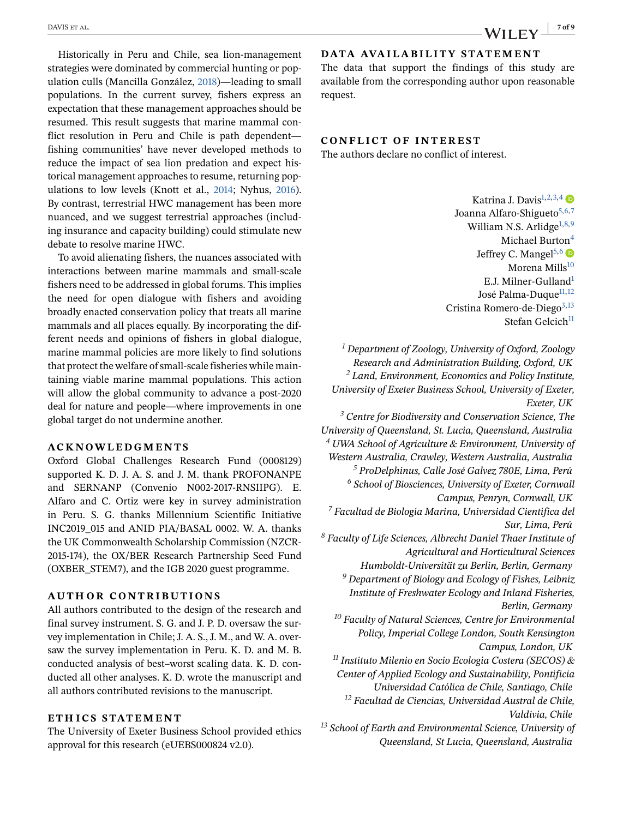Historically in Peru and Chile, sea lion-management strategies were dominated by commercial hunting or population culls (Mancilla González, [2018\)](#page-7-0)—leading to small populations. In the current survey, fishers express an expectation that these management approaches should be resumed. This result suggests that marine mammal conflict resolution in Peru and Chile is path dependent fishing communities' have never developed methods to reduce the impact of sea lion predation and expect historical management approaches to resume, returning populations to low levels (Knott et al., [2014;](#page-7-0) Nyhus, [2016\)](#page-7-0). By contrast, terrestrial HWC management has been more nuanced, and we suggest terrestrial approaches (including insurance and capacity building) could stimulate new debate to resolve marine HWC.

To avoid alienating fishers, the nuances associated with interactions between marine mammals and small-scale fishers need to be addressed in global forums. This implies the need for open dialogue with fishers and avoiding broadly enacted conservation policy that treats all marine mammals and all places equally. By incorporating the different needs and opinions of fishers in global dialogue, marine mammal policies are more likely to find solutions that protect the welfare of small-scale fisheries while maintaining viable marine mammal populations. This action will allow the global community to advance a post-2020 deal for nature and people—where improvements in one global target do not undermine another.

## **ACKNOWLEDGMENTS**

Oxford Global Challenges Research Fund (0008129) supported K. D. J. A. S. and J. M. thank PROFONANPE and SERNANP (Convenio N002-2017-RNSIIPG). E. Alfaro and C. Ortiz were key in survey administration in Peru. S. G. thanks Millennium Scientific Initiative INC2019\_015 and ANID PIA/BASAL 0002. W. A. thanks the UK Commonwealth Scholarship Commission (NZCR-2015-174), the OX/BER Research Partnership Seed Fund (OXBER\_STEM7), and the IGB 2020 guest programme.

#### **AUTHOR CONTRIBUTIONS**

All authors contributed to the design of the research and final survey instrument. S. G. and J. P. D. oversaw the survey implementation in Chile; J. A. S., J. M., and W. A. oversaw the survey implementation in Peru. K. D. and M. B. conducted analysis of best–worst scaling data. K. D. conducted all other analyses. K. D. wrote the manuscript and all authors contributed revisions to the manuscript.

# **ETH ICS STATEMENT**

The University of Exeter Business School provided ethics approval for this research (eUEBS000824 v2.0).

# **DATA AVAILABILITY STATEMENT**

The data that support the findings of this study are available from the corresponding author upon reasonable request.

## **CONFLICT OF INTEREST**

The authors declare no conflict of interest.

Katrina J. Davis<sup>1,2,3,4</sup> Joanna Alfaro-Shigueto<sup>5,6,7</sup> William N.S. Arlidge<sup>1,8,9</sup> Michael Burton<sup>4</sup> Jeffrey C. Mangel<sup>5,6</sup> Morena Mills<sup>10</sup> E.J. Milner-Gulland1 José Palma-Duque<sup>11,12</sup> Cristina Romero-de-Diego<sup>3,13</sup> Stefan Gelcich<sup>11</sup>

*<sup>1</sup> Department of Zoology, University of Oxford, Zoology Research and Administration Building, Oxford, UK <sup>2</sup> Land, Environment, Economics and Policy Institute, University of Exeter Business School, University of Exeter, Exeter, UK*

*<sup>3</sup> Centre for Biodiversity and Conservation Science, The University of Queensland, St. Lucia, Queensland, Australia <sup>4</sup> UWA School of Agriculture & Environment, University of*

*Western Australia, Crawley, Western Australia, Australia <sup>5</sup> ProDelphinus, Calle José Galvez 780E, Lima, Perú*

*<sup>6</sup> School of Biosciences, University of Exeter, Cornwall Campus, Penryn, Cornwall, UK*

*<sup>7</sup> Facultad de Biología Marina, Universidad Científica del Sur, Lima, Perú*

*<sup>8</sup> Faculty of Life Sciences, Albrecht Daniel Thaer Institute of Agricultural and Horticultural Sciences*

*Humboldt-Universität zu Berlin, Berlin, Germany*

*<sup>9</sup> Department of Biology and Ecology of Fishes, Leibniz Institute of Freshwater Ecology and Inland Fisheries, Berlin, Germany*

*<sup>10</sup> Faculty of Natural Sciences, Centre for Environmental Policy, Imperial College London, South Kensington Campus, London, UK*

*<sup>11</sup> Instituto Milenio en Socio Ecología Costera (SECOS) & Center of Applied Ecology and Sustainability, Pontificia Universidad Católica de Chile, Santiago, Chile*

*<sup>12</sup> Facultad de Ciencias, Universidad Austral de Chile, Valdivia, Chile*

*<sup>13</sup> School of Earth and Environmental Science, University of Queensland, St Lucia, Queensland, Australia*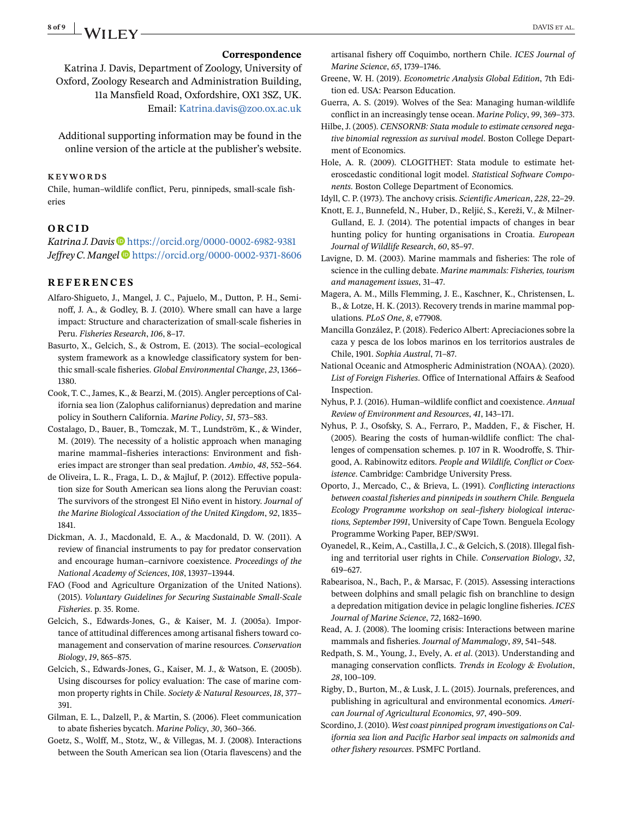# <span id="page-7-0"></span>**8 of 9 A/II EV**

#### **Correspondence**

Katrina J. Davis, Department of Zoology, University of Oxford, Zoology Research and Administration Building, 11a Mansfield Road, Oxfordshire, OX1 3SZ, UK. Email: [Katrina.davis@zoo.ox.ac.uk](mailto:Katrina.davis@zoo.ox.ac.uk)

Additional supporting information may be found in the online version of the article at the publisher's website.

#### **KEYWORDS**

Chile, human–wildlife conflict, Peru, pinnipeds, small-scale fisheries

#### **ORCID**

Katrina J. Davis<sup>®</sup> <https://orcid.org/0000-0002-6982-9381> *Jeffrey C. Mangel* **b** <https://orcid.org/0000-0002-9371-8606>

#### **REFERENCES**

- Alfaro-Shigueto, J., Mangel, J. C., Pajuelo, M., Dutton, P. H., Seminoff, J. A., & Godley, B. J. (2010). Where small can have a large impact: Structure and characterization of small-scale fisheries in Peru. *Fisheries Research*, *106*, 8–17.
- Basurto, X., Gelcich, S., & Ostrom, E. (2013). The social–ecological system framework as a knowledge classificatory system for benthic small-scale fisheries. *Global Environmental Change*, *23*, 1366– 1380.
- Cook, T. C., James, K., & Bearzi, M. (2015). Angler perceptions of California sea lion (Zalophus californianus) depredation and marine policy in Southern California. *Marine Policy*, *51*, 573–583.
- Costalago, D., Bauer, B., Tomczak, M. T., Lundström, K., & Winder, M. (2019). The necessity of a holistic approach when managing marine mammal–fisheries interactions: Environment and fisheries impact are stronger than seal predation. *Ambio*, *48*, 552–564.
- de Oliveira, L. R., Fraga, L. D., & Majluf, P. (2012). Effective population size for South American sea lions along the Peruvian coast: The survivors of the strongest El Niño event in history. *Journal of the Marine Biological Association of the United Kingdom*, *92*, 1835– 1841.
- Dickman, A. J., Macdonald, E. A., & Macdonald, D. W. (2011). A review of financial instruments to pay for predator conservation and encourage human–carnivore coexistence. *Proceedings of the National Academy of Sciences*, *108*, 13937–13944.
- FAO (Food and Agriculture Organization of the United Nations). (2015). *Voluntary Guidelines for Securing Sustainable Small-Scale Fisheries*. p. 35. Rome.
- Gelcich, S., Edwards-Jones, G., & Kaiser, M. J. (2005a). Importance of attitudinal differences among artisanal fishers toward comanagement and conservation of marine resources. *Conservation Biology*, *19*, 865–875.
- Gelcich, S., Edwards-Jones, G., Kaiser, M. J., & Watson, E. (2005b). Using discourses for policy evaluation: The case of marine common property rights in Chile. *Society & Natural Resources*, *18*, 377– 391.
- Gilman, E. L., Dalzell, P., & Martin, S. (2006). Fleet communication to abate fisheries bycatch. *Marine Policy*, *30*, 360–366.
- Goetz, S., Wolff, M., Stotz, W., & Villegas, M. J. (2008). Interactions between the South American sea lion (Otaria flavescens) and the

artisanal fishery off Coquimbo, northern Chile. *ICES Journal of Marine Science*, *65*, 1739–1746.

- Greene, W. H. (2019). *Econometric Analysis Global Edition*, 7th Edition ed. USA: Pearson Education.
- Guerra, A. S. (2019). Wolves of the Sea: Managing human-wildlife conflict in an increasingly tense ocean. *Marine Policy*, *99*, 369–373.
- Hilbe, J. (2005). *CENSORNB: Stata module to estimate censored negative binomial regression as survival model*. Boston College Department of Economics.
- Hole, A. R. (2009). CLOGITHET: Stata module to estimate heteroscedastic conditional logit model. *Statistical Software Components*. Boston College Department of Economics.

Idyll, C. P. (1973). The anchovy crisis. *Scientific American*, *228*, 22–29.

- Knott, E. J., Bunnefeld, N., Huber, D., Reljić, S., Kereži, V., & Milner-Gulland, E. J. (2014). The potential impacts of changes in bear hunting policy for hunting organisations in Croatia. *European Journal of Wildlife Research*, *60*, 85–97.
- Lavigne, D. M. (2003). Marine mammals and fisheries: The role of science in the culling debate. *Marine mammals: Fisheries, tourism and management issues*, 31–47.
- Magera, A. M., Mills Flemming, J. E., Kaschner, K., Christensen, L. B., & Lotze, H. K. (2013). Recovery trends in marine mammal populations. *PLoS One*, *8*, e77908.
- Mancilla González, P. (2018). Federico Albert: Apreciaciones sobre la caza y pesca de los lobos marinos en los territorios australes de Chile, 1901. *Sophia Austral*, 71–87.
- National Oceanic and Atmospheric Administration (NOAA). (2020). *List of Foreign Fisheries*. Office of International Affairs & Seafood Inspection.
- Nyhus, P. J. (2016). Human–wildlife conflict and coexistence. *Annual Review of Environment and Resources*, *41*, 143–171.
- Nyhus, P. J., Osofsky, S. A., Ferraro, P., Madden, F., & Fischer, H. (2005). Bearing the costs of human-wildlife conflict: The challenges of compensation schemes. p. 107 in R. Woodroffe, S. Thirgood, A. Rabinowitz editors. *People and Wildlife, Conflict or Coexistence*. Cambridge: Cambridge University Press.
- Oporto, J., Mercado, C., & Brieva, L. (1991). *Conflicting interactions between coastal fisheries and pinnipeds in southern Chile. Benguela Ecology Programme workshop on seal–fishery biological interactions, September 1991*, University of Cape Town. Benguela Ecology Programme Working Paper, BEP/SW91.
- Oyanedel, R., Keim, A., Castilla, J. C., & Gelcich, S. (2018). Illegal fishing and territorial user rights in Chile. *Conservation Biology*, *32*, 619–627.
- Rabearisoa, N., Bach, P., & Marsac, F. (2015). Assessing interactions between dolphins and small pelagic fish on branchline to design a depredation mitigation device in pelagic longline fisheries. *ICES Journal of Marine Science*, *72*, 1682–1690.
- Read, A. J. (2008). The looming crisis: Interactions between marine mammals and fisheries. *Journal of Mammalogy*, *89*, 541–548.
- Redpath, S. M., Young, J., Evely, A. *et al*. (2013). Understanding and managing conservation conflicts. *Trends in Ecology & Evolution*, *28*, 100–109.
- Rigby, D., Burton, M., & Lusk, J. L. (2015). Journals, preferences, and publishing in agricultural and environmental economics. *American Journal of Agricultural Economics*, *97*, 490–509.
- Scordino, J. (2010). *West coast pinniped program investigations on California sea lion and Pacific Harbor seal impacts on salmonids and other fishery resources*. PSMFC Portland.